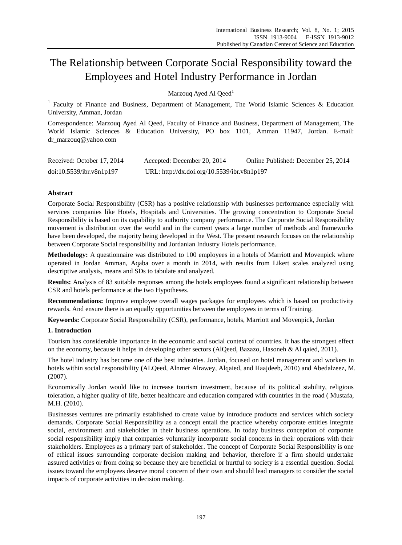# The Relationship between Corporate Social Responsibility toward the Employees and Hotel Industry Performance in Jordan

Marzouq Ayed Al Qeed<sup>1</sup>

<sup>1</sup> Faculty of Finance and Business, Department of Management, The World Islamic Sciences & Education University, Amman, Jordan

Correspondence: Marzouq Ayed Al Qeed, Faculty of Finance and Business, Department of Management, The World Islamic Sciences & Education University, PO box 1101, Amman 11947, Jordan. E-mail: dr\_marzouq@yahoo.com

| Received: October 17, 2014 | Accepted: December 20, 2014                 | Online Published: December 25, 2014 |
|----------------------------|---------------------------------------------|-------------------------------------|
| doi:10.5539/ibr.v8n1p197   | URL: http://dx.doi.org/10.5539/ibr.v8n1p197 |                                     |

# **Abstract**

Corporate Social Responsibility (CSR) has a positive relationship with businesses performance especially with services companies like Hotels, Hospitals and Universities. The growing concentration to Corporate Social Responsibility is based on its capability to authority company performance. The Corporate Social Responsibility movement is distribution over the world and in the current years a large number of methods and frameworks have been developed, the majority being developed in the West. The present research focuses on the relationship between Corporate Social responsibility and Jordanian Industry Hotels performance.

**Methodology:** A questionnaire was distributed to 100 employees in a hotels of Marriott and Movenpick where operated in Jordan Amman, Aqaba over a month in 2014, with results from Likert scales analyzed using descriptive analysis, means and SDs to tabulate and analyzed.

**Results:** Analysis of 83 suitable responses among the hotels employees found a significant relationship between CSR and hotels performance at the two Hypotheses.

**Recommendations:** Improve employee overall wages packages for employees which is based on productivity rewards. And ensure there is an equally opportunities between the employees in terms of Training.

**Keywords:** Corporate Social Responsibility (CSR), performance, hotels, Marriott and Movenpick, Jordan

## **1. Introduction**

Tourism has considerable importance in the economic and social context of countries. It has the strongest effect on the economy, because it helps in developing other sectors (AlQeed, Bazazo, Hasoneh & Al qaied, 2011).

The hotel industry has become one of the best industries. Jordan, focused on hotel management and workers in hotels within social responsibility **(**ALQeed, Alnmer Alrawey, Alqaied, and Haajdeeb, 2010) and Abedalzeez, M. (2007).

Economically Jordan would like to increase tourism investment, because of its political stability, religious toleration, a higher quality of life, better healthcare and education compared with countries in the road ( Mustafa, M.H. (2010).

Businesses ventures are primarily established to create value by introduce products and services which society demands. Corporate Social Responsibility as a concept entail the practice whereby corporate entities integrate social, environment and stakeholder in their business operations. In today business conception of corporate social responsibility imply that companies voluntarily incorporate social concerns in their operations with their stakeholders. Employees as a primary part of stakeholder. The concept of Corporate Social Responsibility is one of ethical issues surrounding corporate decision making and behavior, therefore if a firm should undertake assured activities or from doing so because they are beneficial or hurtful to society is a essential question. Social issues toward the employees deserve moral concern of their own and should lead managers to consider the social impacts of corporate activities in decision making.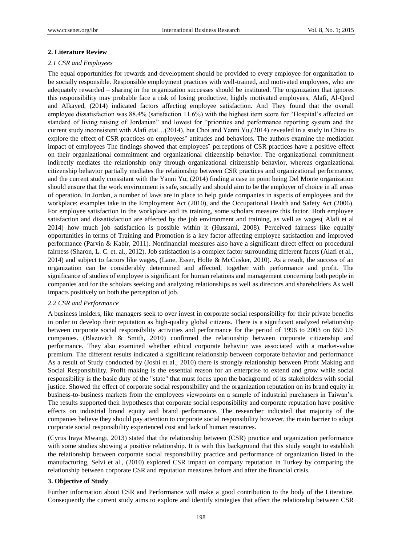#### **2. Literature Review**

#### *2.1 CSR and Employees*

The equal opportunities for rewards and development should be provided to every employee for organization to be socially responsible. Responsible employment practices with well-trained, and motivated employees, who are adequately rewarded – sharing in the organization successes should be instituted. The organization that ignores this responsibility may probable face a risk of losing productive, highly motivated employees, Alafi, Al-Qeed and Alkayed, (2014) indicated factors affecting employee satisfaction. And They found that the overall employee dissatisfaction was 88.4% (satisfaction 11.6%) with the highest item score for "Hospital's affected on standard of living raising of Jordanian" and lowest for "priorities and performance reporting system and the current study inconsistent with Alafi etal…(2014), but Choi and Yanni Yu,(2014) revealed in a study in China to explore the effect of CSR practices on employees" attitudes and behaviors. The authors examine the mediation impact of employees The findings showed that employees" perceptions of CSR practices have a positive effect on their organizational commitment and organizational citizenship behavior. The organizational commitment indirectly mediates the relationship only through organizational citizenship behavior, whereas organizational citizenship behavior partially mediates the relationship between CSR practices and organizational performance, and the current study conssitant with the Yanni Yu, (2014) finding a case in point being Del Monte organization should ensure that the work environment is safe, socially and should aim to be the employer of choice in all areas of operation. In Jordan, a number of laws are in place to help guide companies in aspects of employees and the workplace; examples take in the Employment Act (2010), and the Occupational Health and Safety Act (2006). For employee satisfaction in the workplace and its training, some scholars measure this factor. Both employee satisfaction and dissatisfaction are affected by the job environment and training, as well as wages( Alafi et al 2014) how much job satisfaction is possible within it (Hussami, 2008). Perceived fairness like equally opportunities in terms of Training and Promotion is a key factor affecting employee satisfaction and improved performance (Parvin & Kabir, 2011). Nonfinancial measures also have a significant direct effect on procedural fairness (Sharon, L. C. et. al., 2012). Job satisfaction is a complex factor surrounding different facets (Alafi et al., 2014) and subject to factors like wages, (Lane, Esser, Holte & McCusker, 2010). As a result, the success of an organization can be considerably determined and affected, together with performance and profit. The significance of studies of employee is significant for human relations and management concerning both people in companies and for the scholars seeking and analyzing relationships as well as directors and shareholders As well impacts positively on both the perception of job.

#### *2.2 CSR and Performance*

A business insiders, like managers seek to over invest in corporate social responsibility for their private benefits in order to develop their reputation as high-quality global citizens. There is a significant analyzed relationship between corporate social responsibility activities and performance for the period of 1996 to 2003 on 650 US companies. (Blazovich & Smith, 2010) confirmed the relationship between corporate citizenship and performance. They also examined whether ethical corporate behavior was associated with a market-value premium. The different results indicated a significant relationship between corporate behavior and performance As a result of Study conducted by (Joshi et al., 2010) there is strongly relationship between Profit Making and Social Responsibility. Profit making is the essential reason for an enterprise to extend and grow while social responsibility is the basic duty of the "state" that must focus upon the background of its stakeholders with social justice. Showed the effect of corporate social responsibility and the organization reputation on its brand equity in business-to-business markets from the employees viewpoints on a sample of industrial purchasers in Taiwan's. The results supported their hypotheses that corporate social responsibility and corporate reputation have positive effects on industrial brand equity and brand performance. The researcher indicated that majority of the companies believe they should pay attention to corporate social responsibility however, the main barrier to adopt corporate social responsibility experienced cost and lack of human resources.

(Cyrus Iraya Mwangi, 2013) stated that the relationship between (CSR) practice and organization performance with some studies showing a positive relationship. It is with this background that this study sought to establish the relationship between corporate social responsibility practice and performance of organization listed in the manufacturing, Selvi et al., (2010) explored CSR impact on company reputation in Turkey by comparing the relationship between corporate CSR and reputation measures before and after the financial crisis.

#### **3. Objective of Study**

Further information about CSR and Performance will make a good contribution to the body of the Literature. Consequently the current study aims to explore and identify strategies that affect the relationship between CSR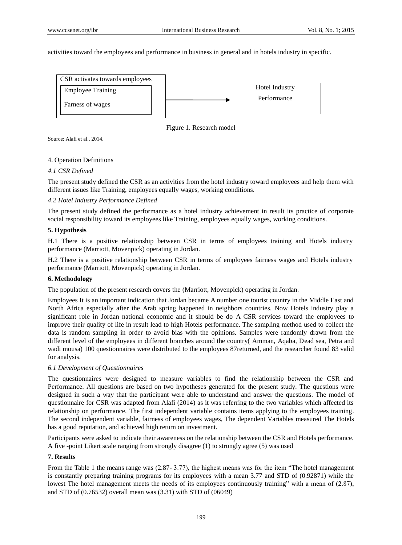activities toward the employees and performance in business in general and in hotels industry in specific.



Figure 1. Research model

Source: Alafi et al., 2014.

## 4. Operation Definitions

## *4.1 CSR Defined*

The present study defined the CSR as an activities from the hotel industry toward employees and help them with different issues like Training, employees equally wages, working conditions.

## *4.2 Hotel Industry Performance Defined*

The present study defined the performance as a hotel industry achievement in result its practice of corporate social responsibility toward its employees like Training, employees equally wages, working conditions.

## **5. Hypothesis**

H.1 There is a positive relationship between CSR in terms of employees training and Hotels industry performance (Marriott, Movenpick) operating in Jordan.

H.2 There is a positive relationship between CSR in terms of employees fairness wages and Hotels industry performance (Marriott, Movenpick) operating in Jordan.

## **6. Methodology**

The population of the present research covers the (Marriott, Movenpick) operating in Jordan.

Employees It is an important indication that Jordan became A number one tourist country in the Middle East and North Africa especially after the Arab spring happened in neighbors countries. Now Hotels industry play a significant role in Jordan national economic and it should be do A CSR services toward the employees to improve their quality of life in result lead to high Hotels performance. The sampling method used to collect the data is random sampling in order to avoid bias with the opinions. Samples were randomly drawn from the different level of the employees in different branches around the country( Amman, Aqaba, Dead sea, Petra and wadi mousa) 100 questionnaires were distributed to the employees 87returned, and the researcher found 83 valid for analysis.

## *6.1 Development of Questionnaires*

The questionnaires were designed to measure variables to find the relationship between the CSR and Performance. All questions are based on two hypotheses generated for the present study. The questions were designed in such a way that the participant were able to understand and answer the questions. The model of questionnaire for CSR was adapted from Alafi (2014) as it was referring to the two variables which affected its relationship on performance. The first independent variable contains items applying to the employees training. The second independent variable, fairness of employees wages, The dependent Variables measured The Hotels has a good reputation, and achieved high return on investment.

Participants were asked to indicate their awareness on the relationship between the CSR and Hotels performance. A five -point Likert scale ranging from strongly disagree (1) to strongly agree (5) was used

## **7. Results**

From the Table 1 the means range was (2.87- 3.77), the highest means was for the item "The hotel management is constantly preparing training programs for its employees with a mean 3.77 and STD of (0.92871) while the lowest The hotel management meets the needs of its employees continuously training" with a mean of  $(2.87)$ , and STD of (0.76532) overall mean was (3.31) with STD of (06049)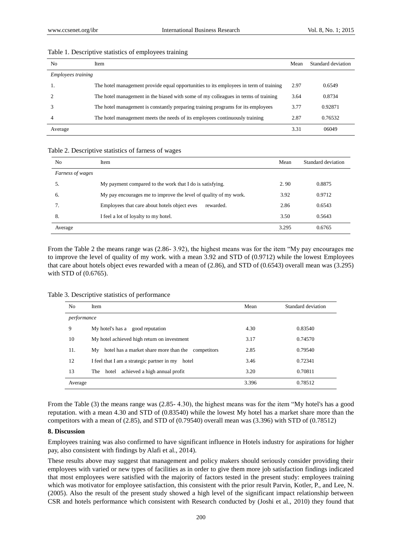| No                        | Item                                                                                  | Mean | Standard deviation |
|---------------------------|---------------------------------------------------------------------------------------|------|--------------------|
| <i>Employees training</i> |                                                                                       |      |                    |
| . .                       | The hotel management provide equal opportunities to its employees in term of training | 2.97 | 0.6549             |
|                           | The hotel management in the biased with some of my colleagues in terms of training    | 3.64 | 0.8734             |
|                           | The hotel management is constantly preparing training programs for its employees      | 3.77 | 0.92871            |
| 4                         | The hotel management meets the needs of its employees continuously training           | 2.87 | 0.76532            |
| Average                   |                                                                                       | 3.31 | 06049              |

### Table 1. Descriptive statistics of employees training

## Table 2. Descriptive statistics of farness of wages

| N <sub>o</sub>   | Item                                                             | Mean  | Standard deviation |
|------------------|------------------------------------------------------------------|-------|--------------------|
| Farness of wages |                                                                  |       |                    |
| 5.               | My payment compared to the work that I do is satisfying.         | 2.90  | 0.8875             |
| 6.               | My pay encourages me to improve the level of quality of my work. | 3.92  | 0.9712             |
|                  | Employees that care about hotels object eves<br>rewarded.        | 2.86  | 0.6543             |
| 8.               | I feel a lot of loyalty to my hotel.                             | 3.50  | 0.5643             |
| Average          |                                                                  | 3.295 | 0.6765             |

From the Table 2 the means range was (2.86- 3.92), the highest means was for the item "My pay encourages me to improve the level of quality of my work. with a mean 3.92 and STD of (0.9712) while the lowest Employees that care about hotels object eves rewarded with a mean of (2.86), and STD of (0.6543) overall mean was (3.295) with STD of (0.6765).

Table 3. Descriptive statistics of performance

| No          | Item                                                     | Mean  | Standard deviation |  |
|-------------|----------------------------------------------------------|-------|--------------------|--|
| performance |                                                          |       |                    |  |
| 9           | My hotel's has a good reputation                         | 4.30  | 0.83540            |  |
| 10          | My hotel achieved high return on investment              | 3.17  | 0.74570            |  |
| 11.         | hotel has a market share more than the competitors<br>Mv | 2.85  | 0.79540            |  |
| 12          | I feel that I am a strategic partner in my<br>hotel      | 3.46  | 0.72341            |  |
| 13          | achieved a high annual profit<br>hotel<br>The            | 3.20  | 0.70811            |  |
| Average     |                                                          | 3.396 | 0.78512            |  |

From the Table (3) the means range was (2.85- 4.30), the highest means was for the item "My hotel's has a good reputation. with a mean 4.30 and STD of (0.83540) while the lowest My hotel has a market share more than the competitors with a mean of (2.85), and STD of (0.79540) overall mean was (3.396) with STD of (0.78512)

## **8. Discussion**

Employees training was also confirmed to have significant influence in Hotels industry for aspirations for higher pay, also consistent with findings by Alafi et al., 2014).

These results above may suggest that management and policy makers should seriously consider providing their employees with varied or new types of facilities as in order to give them more job satisfaction findings indicated that most employees were satisfied with the majority of factors tested in the present study: employees training which was motivator for employee satisfaction, this consistent with the prior result Parvin, Kotler, P., and Lee, N. (2005). Also the result of the present study showed a high level of the significant impact relationship between CSR and hotels performance which consistent with Research conducted by (Joshi et al., 2010) they found that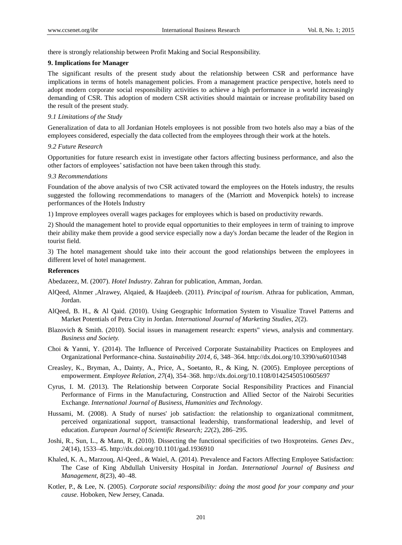there is strongly relationship between Profit Making and Social Responsibility.

## **9. Implications for Manager**

The significant results of the present study about the relationship between CSR and performance have implications in terms of hotels management policies. From a management practice perspective, hotels need to adopt modern corporate social responsibility activities to achieve a high performance in a world increasingly demanding of CSR. This adoption of modern CSR activities should maintain or increase profitability based on the result of the present study.

## *9.1 Limitations of the Study*

Generalization of data to all Jordanian Hotels employees is not possible from two hotels also may a bias of the employees considered, especially the data collected from the employees through their work at the hotels.

#### *9.2 Future Research*

Opportunities for future research exist in investigate other factors affecting business performance, and also the other factors of employees'satisfaction not have been taken through this study.

## *9.3 Recommendations*

Foundation of the above analysis of two CSR activated toward the employees on the Hotels industry, the results suggested the following recommendations to managers of the (Marriott and Movenpick hotels) to increase performances of the Hotels Industry

1) Improve employees overall wages packages for employees which is based on productivity rewards.

2) Should the management hotel to provide equal opportunities to their employees in term of training to improve their ability make them provide a good service especially now a day's Jordan became the leader of the Region in tourist field.

3) The hotel management should take into their account the good relationships between the employees in different level of hotel management.

## **References**

Abedazeez, M. (2007). *Hotel Industry*. Zahran for publication, Amman, Jordan.

- AlQeed, Alnmer ,Alrawey, Alqaied, & Haajdeeb. (2011). *Principal of tourism*. Athraa for publication, Amman, Jordan.
- AlQeed, B. H., & Al Qaid. (2010). Using Geographic Information System to Visualize Travel Patterns and Market Potentials of Petra City in Jordan. *International Journal of Marketing Studies, 2*(2).
- Blazovich & Smith. (2010). Social issues in management research: experts" views, analysis and commentary. *Business and Society.*
- Choi & Yanni, Y. (2014). The Influence of Perceived Corporate Sustainability Practices on Employees and Organizational Performance-china. *Sustainability 2014, 6*, 348–364. http://dx.doi.org/10.3390/su6010348
- Creasley, K., Bryman, A., Dainty, A., Price, A., Soetanto, R., & King, N. (2005). Employee perceptions of empowerment. *Employee Relation, 27*(4), 354–368. http://dx.doi.org/10.1108/01425450510605697
- Cyrus, I. M. (2013). The Relationship between Corporate Social Responsibility Practices and Financial Performance of Firms in the Manufacturing, Construction and Allied Sector of the Nairobi Securities Exchange. *International Journal of Business, Humanities and Technology*.
- Hussami, M. (2008). A Study of nurses' job satisfaction: the relationship to organizational commitment, perceived organizational support, transactional leadership, transformational leadership, and level of education. *European Journal of Scientific Research; 22*(2), 286–295.
- Joshi, R., Sun, L., & Mann, R. (2010). Dissecting the functional specificities of two Hoxproteins. *Genes Dev., 24*(14), 1533–45. http://dx.doi.org/10.1101/gad.1936910
- Khaled, K. A., Marzouq, Al-Qeed., & Waiel, A. (2014). Prevalence and Factors Affecting Employee Satisfaction: The Case of King Abdullah University Hospital in Jordan. *International Journal of Business and Management, 8*(23), 40–48.
- Kotler, P., & Lee, N. (2005). *Corporate social responsibility: doing the most good for your company and your cause*. Hoboken, New Jersey, Canada.